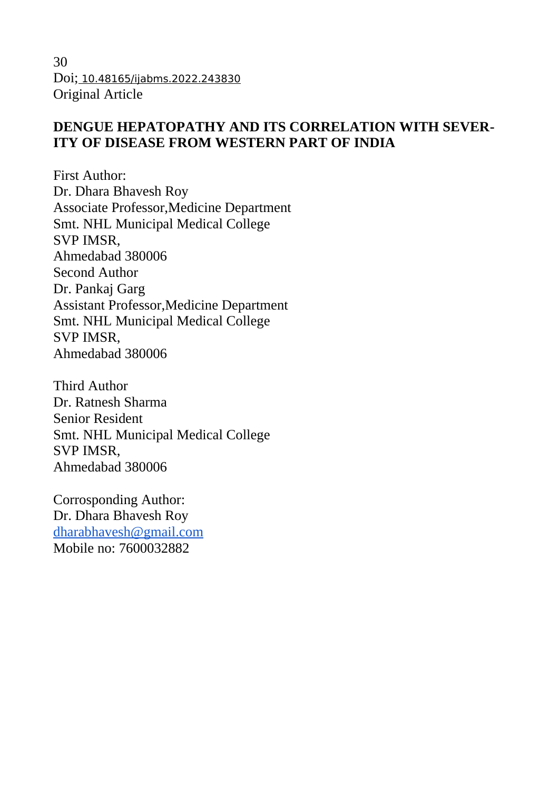30 Doi; 10.48165/ijabms.2022.243830 Original Article

### **DENGUE HEPATOPATHY AND ITS CORRELATION WITH SEVER-ITY OF DISEASE FROM WESTERN PART OF INDIA**

First Author: Dr. Dhara Bhavesh Roy Associate Professor,Medicine Department Smt. NHL Municipal Medical College SVP IMSR, Ahmedabad 380006 Second Author Dr. Pankaj Garg Assistant Professor,Medicine Department Smt. NHL Municipal Medical College SVP IMSR, Ahmedabad 380006

Third Author Dr. Ratnesh Sharma Senior Resident Smt. NHL Municipal Medical College SVP IMSR, Ahmedabad 380006

Corrosponding Author: Dr. Dhara Bhavesh Roy [dharabhavesh@gmail.com](mailto:dharabhavesh@gmail.com) Mobile no: 7600032882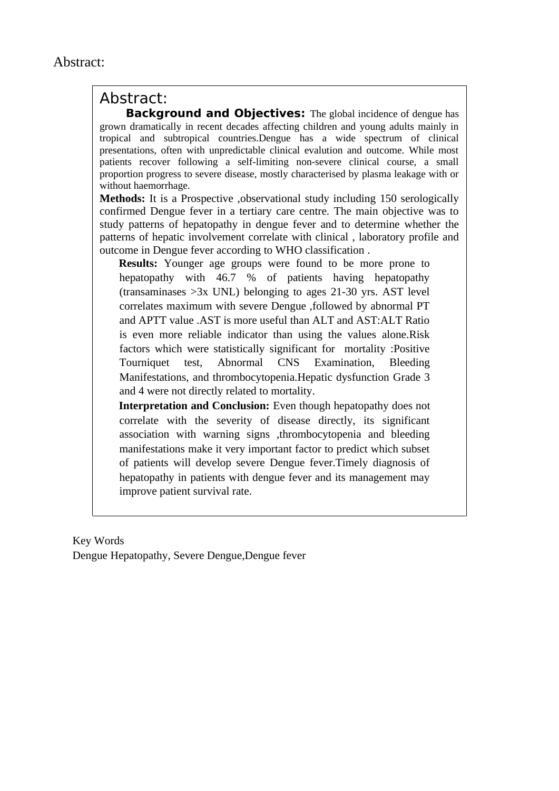### Abstract:

**Background and Objectives:** The global incidence of dengue has grown dramatically in recent decades affecting children and young adults mainly in tropical and subtropical countries.Dengue has a wide spectrum of clinical presentations, often with unpredictable clinical evalution and outcome. While most patients recover following a self-limiting non-severe clinical course, a small proportion progress to severe disease, mostly characterised by plasma leakage with or without haemorrhage.

**Methods:** It is a Prospective , observational study including 150 serologically confirmed Dengue fever in a tertiary care centre. The main objective was to study patterns of hepatopathy in dengue fever and to determine whether the patterns of hepatic involvement correlate with clinical , laboratory profile and outcome in Dengue fever according to WHO classification .

**Results:** Younger age groups were found to be more prone to hepatopathy with 46.7 % of patients having hepatopathy (transaminases >3x UNL) belonging to ages 21-30 yrs. AST level correlates maximum with severe Dengue ,followed by abnormal PT and APTT value .AST is more useful than ALT and AST:ALT Ratio is even more reliable indicator than using the values alone.Risk factors which were statistically significant for mortality :Positive Tourniquet test, Abnormal CNS Examination, Bleeding Manifestations, and thrombocytopenia.Hepatic dysfunction Grade 3 and 4 were not directly related to mortality.

**Interpretation and Conclusion:** Even though hepatopathy does not correlate with the severity of disease directly, its significant association with warning signs ,thrombocytopenia and bleeding manifestations make it very important factor to predict which subset of patients will develop severe Dengue fever.Timely diagnosis of hepatopathy in patients with dengue fever and its management may improve patient survival rate.

Key Words Dengue Hepatopathy, Severe Dengue,Dengue fever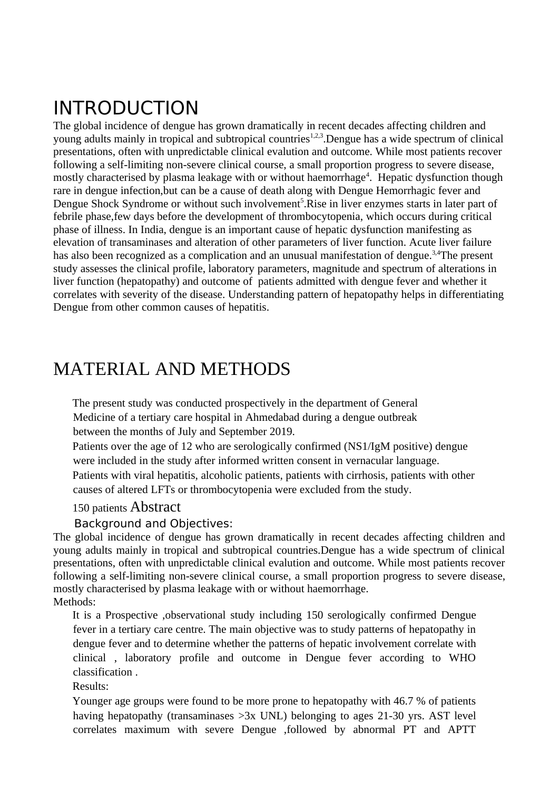# INTRODUCTION

The global incidence of dengue has grown dramatically in recent decades affecting children and young adults mainly in tropical and subtropical countries<sup>1,2,3</sup>.Dengue has a wide spectrum of clinical presentations, often with unpredictable clinical evalution and outcome. While most patients recover following a self-limiting non-severe clinical course, a small proportion progress to severe disease, mostly characterised by plasma leakage with or without haemorrhage<sup>4</sup>. Hepatic dysfunction though rare in dengue infection,but can be a cause of death along with Dengue Hemorrhagic fever and Dengue Shock Syndrome or without such involvement<sup>5</sup>.Rise in liver enzymes starts in later part of febrile phase,few days before the development of thrombocytopenia, which occurs during critical phase of illness. In India, dengue is an important cause of hepatic dysfunction manifesting as elevation of transaminases and alteration of other parameters of liver function. Acute liver failure has also been recognized as a complication and an unusual manifestation of dengue.<sup>3,4</sup>The present study assesses the clinical profile, laboratory parameters, magnitude and spectrum of alterations in liver function (hepatopathy) and outcome of patients admitted with dengue fever and whether it correlates with severity of the disease. Understanding pattern of hepatopathy helps in differentiating Dengue from other common causes of hepatitis.

## MATERIAL AND METHODS

The present study was conducted prospectively in the department of General Medicine of a tertiary care hospital in Ahmedabad during a dengue outbreak between the months of July and September 2019.

Patients over the age of 12 who are serologically confirmed (NS1/IgM positive) dengue were included in the study after informed written consent in vernacular language. Patients with viral hepatitis, alcoholic patients, patients with cirrhosis, patients with other causes of altered LFTs or thrombocytopenia were excluded from the study.

#### 150 patients Abstract

#### Background and Objectives:

The global incidence of dengue has grown dramatically in recent decades affecting children and young adults mainly in tropical and subtropical countries.Dengue has a wide spectrum of clinical presentations, often with unpredictable clinical evalution and outcome. While most patients recover following a self-limiting non-severe clinical course, a small proportion progress to severe disease, mostly characterised by plasma leakage with or without haemorrhage. Methods:

It is a Prospective ,observational study including 150 serologically confirmed Dengue fever in a tertiary care centre. The main objective was to study patterns of hepatopathy in dengue fever and to determine whether the patterns of hepatic involvement correlate with clinical , laboratory profile and outcome in Dengue fever according to WHO classification .

Results:

Younger age groups were found to be more prone to hepatopathy with 46.7 % of patients having hepatopathy (transaminases >3x UNL) belonging to ages 21-30 yrs. AST level correlates maximum with severe Dengue ,followed by abnormal PT and APTT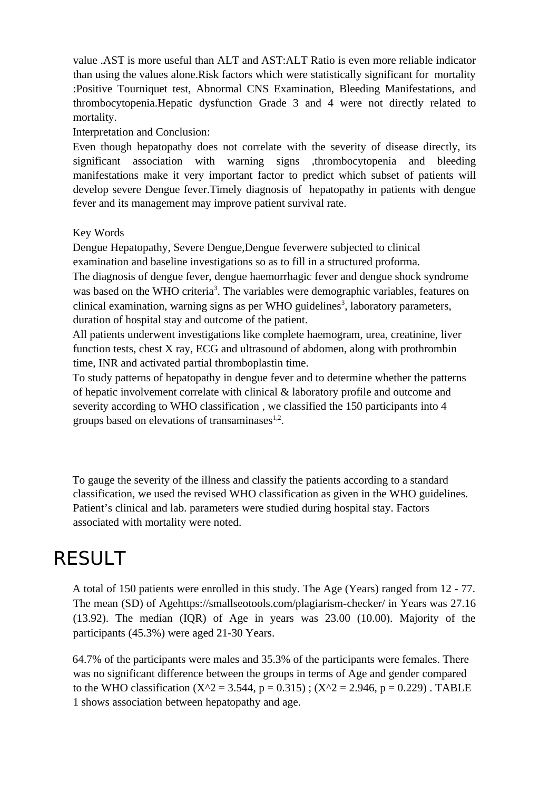value .AST is more useful than ALT and AST:ALT Ratio is even more reliable indicator than using the values alone.Risk factors which were statistically significant for mortality :Positive Tourniquet test, Abnormal CNS Examination, Bleeding Manifestations, and thrombocytopenia.Hepatic dysfunction Grade 3 and 4 were not directly related to mortality.

Interpretation and Conclusion:

Even though hepatopathy does not correlate with the severity of disease directly, its significant association with warning signs ,thrombocytopenia and bleeding manifestations make it very important factor to predict which subset of patients will develop severe Dengue fever.Timely diagnosis of hepatopathy in patients with dengue fever and its management may improve patient survival rate.

#### Key Words

Dengue Hepatopathy, Severe Dengue,Dengue feverwere subjected to clinical examination and baseline investigations so as to fill in a structured proforma. The diagnosis of dengue fever, dengue haemorrhagic fever and dengue shock syndrome was based on the WHO criteria<sup>3</sup>. The variables were demographic variables, features on clinical examination, warning signs as per WHO guidelines<sup>3</sup>, laboratory parameters, duration of hospital stay and outcome of the patient.

All patients underwent investigations like complete haemogram, urea, creatinine, liver function tests, chest X ray, ECG and ultrasound of abdomen, along with prothrombin time, INR and activated partial thromboplastin time.

To study patterns of hepatopathy in dengue fever and to determine whether the patterns of hepatic involvement correlate with clinical & laboratory profile and outcome and severity according to WHO classification , we classified the 150 participants into 4 groups based on elevations of transaminases $^{1,2}$ .

To gauge the severity of the illness and classify the patients according to a standard classification, we used the revised WHO classification as given in the WHO guidelines. Patient's clinical and lab. parameters were studied during hospital stay. Factors associated with mortality were noted.

## RESULT

A total of 150 patients were enrolled in this study. The Age (Years) ranged from 12 - 77. The mean (SD) of Agehttps://smallseotools.com/plagiarism-checker/ in Years was 27.16 (13.92). The median (IQR) of Age in years was 23.00 (10.00). Majority of the participants (45.3%) were aged 21-30 Years.

64.7% of the participants were males and 35.3% of the participants were females. There was no significant difference between the groups in terms of Age and gender compared to the WHO classification ( $X^2 = 3.544$ , p = 0.315) ; ( $X^2 = 2.946$ , p = 0.229). TABLE 1 shows association between hepatopathy and age.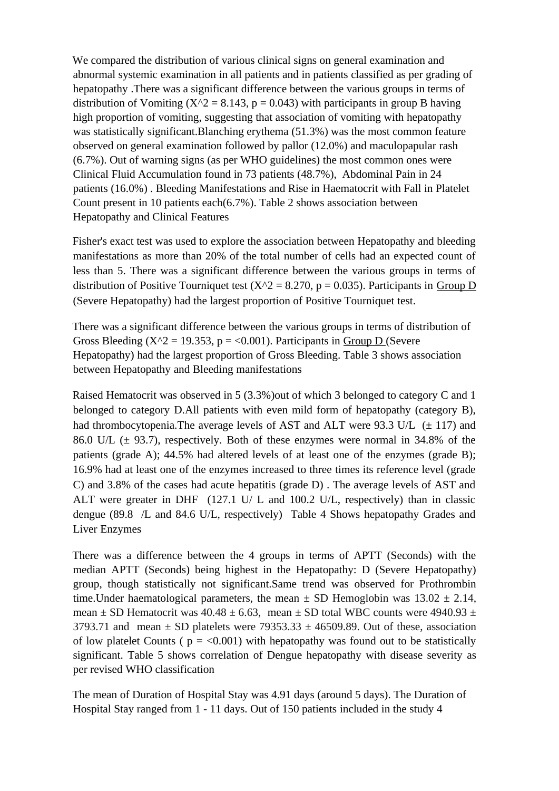We compared the distribution of various clinical signs on general examination and abnormal systemic examination in all patients and in patients classified as per grading of hepatopathy .There was a significant difference between the various groups in terms of distribution of Vomiting ( $X^2 = 8.143$ , p = 0.043) with participants in group B having high proportion of vomiting, suggesting that association of vomiting with hepatopathy was statistically significant.Blanching erythema (51.3%) was the most common feature observed on general examination followed by pallor (12.0%) and maculopapular rash (6.7%). Out of warning signs (as per WHO guidelines) the most common ones were Clinical Fluid Accumulation found in 73 patients (48.7%), Abdominal Pain in 24 patients (16.0%) . Bleeding Manifestations and Rise in Haematocrit with Fall in Platelet Count present in 10 patients each(6.7%). Table 2 shows association between Hepatopathy and Clinical Features

Fisher's exact test was used to explore the association between Hepatopathy and bleeding manifestations as more than 20% of the total number of cells had an expected count of less than 5. There was a significant difference between the various groups in terms of distribution of Positive Tourniquet test ( $X^2 = 8.270$ , p = 0.035). Participants in Group D (Severe Hepatopathy) had the largest proportion of Positive Tourniquet test.

There was a significant difference between the various groups in terms of distribution of Gross Bleeding ( $X^2 = 19.353$ , p = <0.001). Participants in Group D (Severe Hepatopathy) had the largest proportion of Gross Bleeding. Table 3 shows association between Hepatopathy and Bleeding manifestations

Raised Hematocrit was observed in 5 (3.3%)out of which 3 belonged to category C and 1 belonged to category D.All patients with even mild form of hepatopathy (category B), had thrombocytopenia. The average levels of AST and ALT were 93.3 U/L  $(± 117)$  and 86.0 U/L (± 93.7), respectively. Both of these enzymes were normal in 34.8% of the patients (grade A); 44.5% had altered levels of at least one of the enzymes (grade B); 16.9% had at least one of the enzymes increased to three times its reference level (grade C) and 3.8% of the cases had acute hepatitis (grade D) . The average levels of AST and ALT were greater in DHF (127.1 U/ L and 100.2 U/L, respectively) than in classic dengue (89.8 /L and 84.6 U/L, respectively) Table 4 Shows hepatopathy Grades and Liver Enzymes

There was a difference between the 4 groups in terms of APTT (Seconds) with the median APTT (Seconds) being highest in the Hepatopathy: D (Severe Hepatopathy) group, though statistically not significant.Same trend was observed for Prothrombin time. Under haematological parameters, the mean  $\pm$  SD Hemoglobin was 13.02  $\pm$  2.14, mean  $\pm$  SD Hematocrit was 40.48  $\pm$  6.63, mean  $\pm$  SD total WBC counts were 4940.93  $\pm$ 3793.71 and mean  $\pm$  SD platelets were 79353.33  $\pm$  46509.89. Out of these, association of low platelet Counts ( $p = 0.001$ ) with hepatopathy was found out to be statistically significant. Table 5 shows correlation of Dengue hepatopathy with disease severity as per revised WHO classification

The mean of Duration of Hospital Stay was 4.91 days (around 5 days). The Duration of Hospital Stay ranged from 1 - 11 days. Out of 150 patients included in the study 4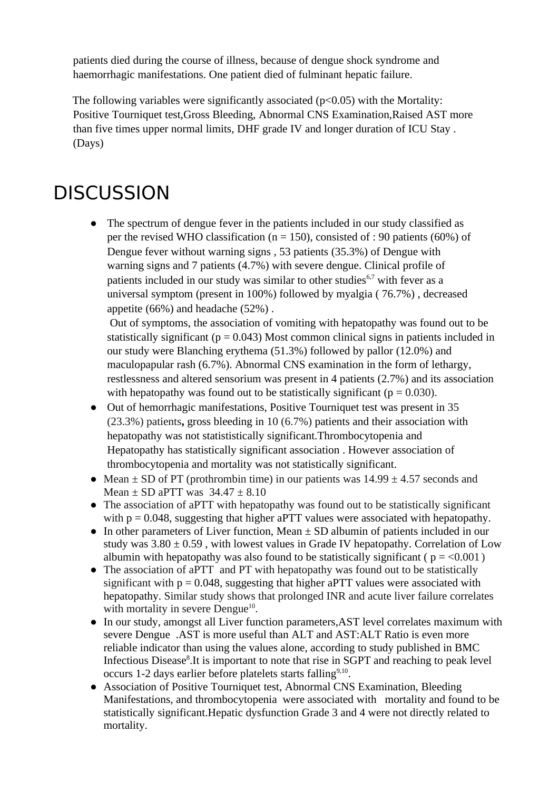patients died during the course of illness, because of dengue shock syndrome and haemorrhagic manifestations. One patient died of fulminant hepatic failure.

The following variables were significantly associated  $(p<0.05)$  with the Mortality: Positive Tourniquet test,Gross Bleeding, Abnormal CNS Examination,Raised AST more than five times upper normal limits, DHF grade IV and longer duration of ICU Stay . (Days)

# **DISCUSSION**

● The spectrum of dengue fever in the patients included in our study classified as per the revised WHO classification ( $n = 150$ ), consisted of : 90 patients (60%) of Dengue fever without warning signs , 53 patients (35.3%) of Dengue with warning signs and 7 patients (4.7%) with severe dengue. Clinical profile of patients included in our study was similar to other studies<sup>6,7</sup> with fever as a universal symptom (present in 100%) followed by myalgia ( 76.7%) , decreased appetite (66%) and headache (52%) .

Out of symptoms, the association of vomiting with hepatopathy was found out to be statistically significant ( $p = 0.043$ ) Most common clinical signs in patients included in our study were Blanching erythema (51.3%) followed by pallor (12.0%) and maculopapular rash (6.7%). Abnormal CNS examination in the form of lethargy, restlessness and altered sensorium was present in 4 patients (2.7%) and its association with hepatopathy was found out to be statistically significant ( $p = 0.030$ ).

- Out of hemorrhagic manifestations, Positive Tourniquet test was present in 35 (23.3%) patients**,** gross bleeding in 10 (6.7%) patients and their association with hepatopathy was not statististically significant.Thrombocytopenia and Hepatopathy has statistically significant association . However association of thrombocytopenia and mortality was not statistically significant.
- Mean  $\pm$  SD of PT (prothrombin time) in our patients was  $14.99 \pm 4.57$  seconds and Mean  $\pm$  SD aPTT was  $34.47 \pm 8.10$
- The association of aPTT with hepatopathy was found out to be statistically significant with  $p = 0.048$ , suggesting that higher aPTT values were associated with hepatopathy.
- $\bullet$  In other parameters of Liver function, Mean  $\pm$  SD albumin of patients included in our study was  $3.80 \pm 0.59$ , with lowest values in Grade IV hepatopathy. Correlation of Low albumin with hepatopathy was also found to be statistically significant ( $p = 0.001$ )
- The association of aPTT and PT with hepatopathy was found out to be statistically significant with  $p = 0.048$ , suggesting that higher aPTT values were associated with hepatopathy. Similar study shows that prolonged INR and acute liver failure correlates with mortality in severe Dengue $^{10}$ .
- In our study, amongst all Liver function parameters,AST level correlates maximum with severe Dengue .AST is more useful than ALT and AST:ALT Ratio is even more reliable indicator than using the values alone, according to study published in BMC Infectious Disease<sup>8</sup>. It is important to note that rise in SGPT and reaching to peak level occurs 1-2 days earlier before platelets starts falling $9,10$ .
- Association of Positive Tourniquet test, Abnormal CNS Examination, Bleeding Manifestations, and thrombocytopenia were associated with mortality and found to be statistically significant.Hepatic dysfunction Grade 3 and 4 were not directly related to mortality.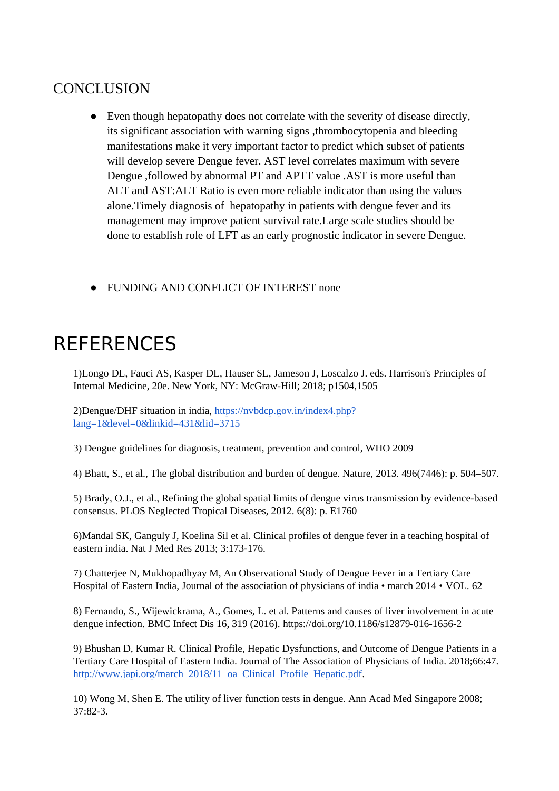### **CONCLUSION**

- Even though hepatopathy does not correlate with the severity of disease directly, its significant association with warning signs ,thrombocytopenia and bleeding manifestations make it very important factor to predict which subset of patients will develop severe Dengue fever. AST level correlates maximum with severe Dengue ,followed by abnormal PT and APTT value .AST is more useful than ALT and AST:ALT Ratio is even more reliable indicator than using the values alone.Timely diagnosis of hepatopathy in patients with dengue fever and its management may improve patient survival rate.Large scale studies should be done to establish role of LFT as an early prognostic indicator in severe Dengue.
- **FUNDING AND CONFLICT OF INTEREST none**

# REFERENCES

1)Longo DL, Fauci AS, Kasper DL, Hauser SL, Jameson J, Loscalzo J. eds. Harrison's Principles of Internal Medicine, 20e. New York, NY: McGraw-Hill; 2018; p1504,1505

2)Dengue/DHF situation in india, [https://nvbdcp.gov.in/index4.php?](https://nvbdcp.gov.in/index4.php?lang=1&level=0&linkid=431&lid=3715) [lang=1&level=0&linkid=431&lid=3715](https://nvbdcp.gov.in/index4.php?lang=1&level=0&linkid=431&lid=3715)

3) Dengue guidelines for diagnosis, treatment, prevention and control, WHO 2009

4) Bhatt, S., et al., The global distribution and burden of dengue. Nature, 2013. 496(7446): p. 504–507.

5) Brady, O.J., et al., Refining the global spatial limits of dengue virus transmission by evidence-based consensus. PLOS Neglected Tropical Diseases, 2012. 6(8): p. E1760

6)Mandal SK, Ganguly J, Koelina Sil et al. Clinical profiles of dengue fever in a teaching hospital of eastern india. Nat J Med Res 2013; 3:173-176.

7) Chatterjee N, Mukhopadhyay M, An Observational Study of Dengue Fever in a Tertiary Care Hospital of Eastern India, Journal of the association of physicians of india • march 2014 • VOL. 62

8) Fernando, S., Wijewickrama, A., Gomes, L. et al. Patterns and causes of liver involvement in acute dengue infection. BMC Infect Dis 16, 319 (2016).<https://doi.org/10.1186/s12879-016-1656-2>

9) Bhushan D, Kumar R. Clinical Profile, Hepatic Dysfunctions, and Outcome of Dengue Patients in a Tertiary Care Hospital of Eastern India. Journal of The Association of Physicians of India. 2018;66:47. http://www.japi.org/march\_2018/11\_oa\_Clinical\_Profile\_Hepatic.pdf.

10) Wong M, Shen E. The utility of liver function tests in dengue. Ann Acad Med Singapore 2008; 37:82-3.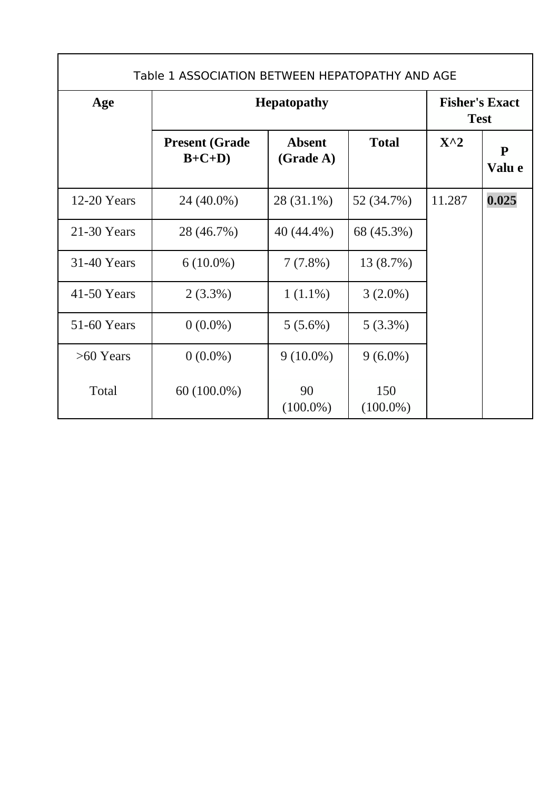| Table 1 ASSOCIATION BETWEEN HEPATOPATHY AND AGE |                                  |                                      |                    |               |             |  |
|-------------------------------------------------|----------------------------------|--------------------------------------|--------------------|---------------|-------------|--|
| Age                                             | <b>Hepatopathy</b>               | <b>Fisher's Exact</b><br><b>Test</b> |                    |               |             |  |
|                                                 | <b>Present (Grade</b><br>$B+C+D$ | <b>Absent</b><br>(Grade A)           | <b>Total</b>       | $X^{\wedge}2$ | P<br>Valu e |  |
| 12-20 Years                                     | 24 (40.0%)                       | 28 (31.1%)                           | 52 (34.7%)         | 11.287        | 0.025       |  |
| 21-30 Years                                     | 28 (46.7%)                       | 40 (44.4%)                           | 68 (45.3%)         |               |             |  |
| 31-40 Years                                     | $6(10.0\%)$                      | 7(7.8%)                              | 13 (8.7%)          |               |             |  |
| 41-50 Years                                     | $2(3.3\%)$                       | $1(1.1\%)$                           | $3(2.0\%)$         |               |             |  |
| 51-60 Years                                     | $0(0.0\%)$                       | $5(5.6\%)$                           | $5(3.3\%)$         |               |             |  |
| $>60$ Years                                     | $0(0.0\%)$                       | $9(10.0\%)$                          | $9(6.0\%)$         |               |             |  |
| Total                                           | 60 (100.0%)                      | 90<br>$(100.0\%)$                    | 150<br>$(100.0\%)$ |               |             |  |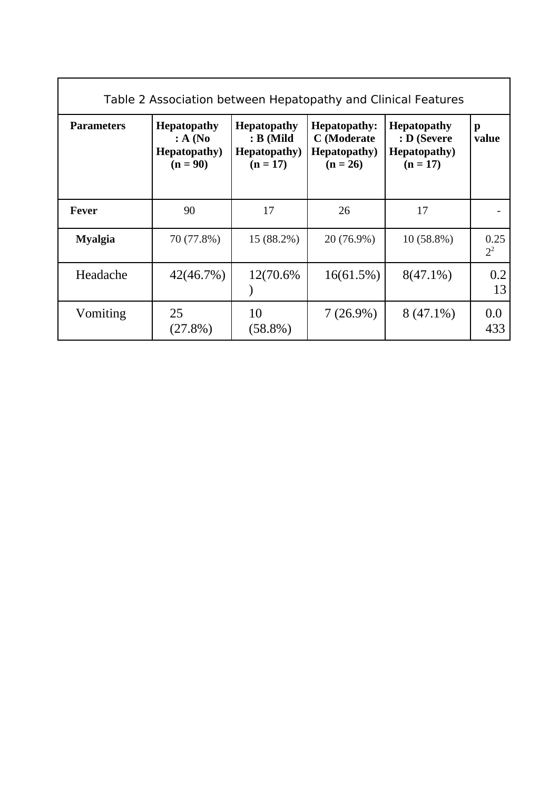| Table 2 Association between Hepatopathy and Clinical Features |                                                                     |                                                                         |                                                                          |                                                                         |               |  |  |
|---------------------------------------------------------------|---------------------------------------------------------------------|-------------------------------------------------------------------------|--------------------------------------------------------------------------|-------------------------------------------------------------------------|---------------|--|--|
| <b>Parameters</b>                                             | <b>Hepatopathy</b><br>: A(No)<br><b>Hepatopathy</b> )<br>$(n = 90)$ | <b>Hepatopathy</b><br>$: B$ (Mild<br><b>Hepatopathy</b> )<br>$(n = 17)$ | <b>Hepatopathy:</b><br>C (Moderate<br><b>Hepatopathy</b> )<br>$(n = 26)$ | <b>Hepatopathy</b><br>: D (Severe<br><b>Hepatopathy</b> )<br>$(n = 17)$ | p<br>value    |  |  |
| Fever                                                         | 90                                                                  | 17                                                                      | 26                                                                       | 17                                                                      |               |  |  |
| <b>Myalgia</b>                                                | 70 (77.8%)                                                          | 15 (88.2%)                                                              | 20 (76.9%)                                                               | 10 (58.8%)                                                              | 0.25<br>$2^2$ |  |  |
| Headache                                                      | 42(46.7%)                                                           | 12(70.6%)                                                               | 16(61.5%)                                                                | $8(47.1\%)$                                                             | 0.2<br>13     |  |  |
| Vomiting                                                      | 25<br>(27.8%)                                                       | 10<br>$(58.8\%)$                                                        | 7(26.9%)                                                                 | $8(47.1\%)$                                                             | 0.0<br>433    |  |  |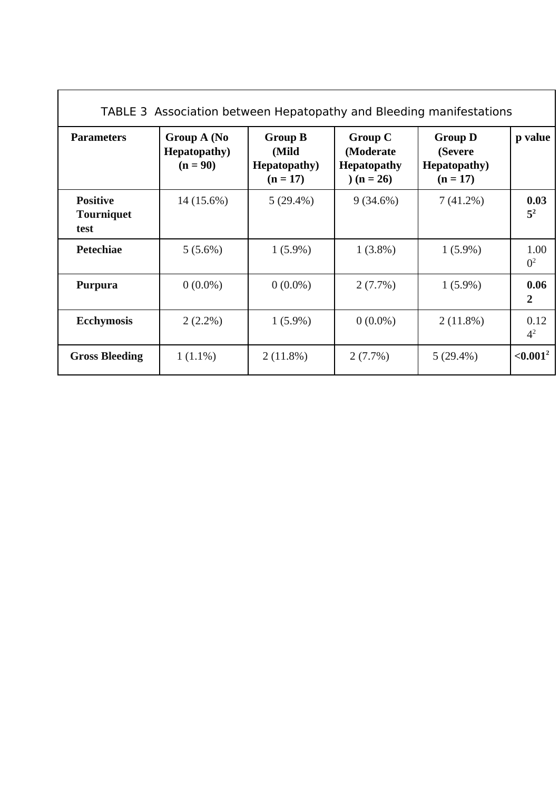| TABLE 3 Association between Hepatopathy and Bleeding manifestations |                                                   |                                                               |                                                                 |                                                                 |                        |  |  |
|---------------------------------------------------------------------|---------------------------------------------------|---------------------------------------------------------------|-----------------------------------------------------------------|-----------------------------------------------------------------|------------------------|--|--|
| <b>Parameters</b>                                                   | Group A (No<br><b>Hepatopathy</b> )<br>$(n = 90)$ | <b>Group B</b><br>(Mild<br><b>Hepatopathy</b> )<br>$(n = 17)$ | <b>Group C</b><br>(Moderate<br><b>Hepatopathy</b><br>$(n = 26)$ | <b>Group D</b><br>(Severe<br><b>Hepatopathy</b> )<br>$(n = 17)$ | p value                |  |  |
| <b>Positive</b><br><b>Tourniquet</b><br>test                        | 14 (15.6%)                                        | $5(29.4\%)$                                                   | $9(34.6\%)$                                                     | $7(41.2\%)$                                                     | 0.03<br>5 <sup>2</sup> |  |  |
| <b>Petechiae</b>                                                    | $5(5.6\%)$                                        | $1(5.9\%)$                                                    | $1(3.8\%)$                                                      | $1(5.9\%)$                                                      | 1.00<br>0 <sup>2</sup> |  |  |
| Purpura                                                             | $0(0.0\%)$                                        | $0(0.0\%)$                                                    | $2(7.7\%)$                                                      | $1(5.9\%)$                                                      | 0.06<br>2              |  |  |
| <b>Ecchymosis</b>                                                   | $2(2.2\%)$                                        | $1(5.9\%)$                                                    | $0(0.0\%)$                                                      | $2(11.8\%)$                                                     | 0.12<br>$4^2$          |  |  |
| <b>Gross Bleeding</b>                                               | $1(1.1\%)$                                        | $2(11.8\%)$                                                   | 2(7.7%)                                                         | $5(29.4\%)$                                                     | $\leq 0.001^2$         |  |  |

 $\mathbf{r}$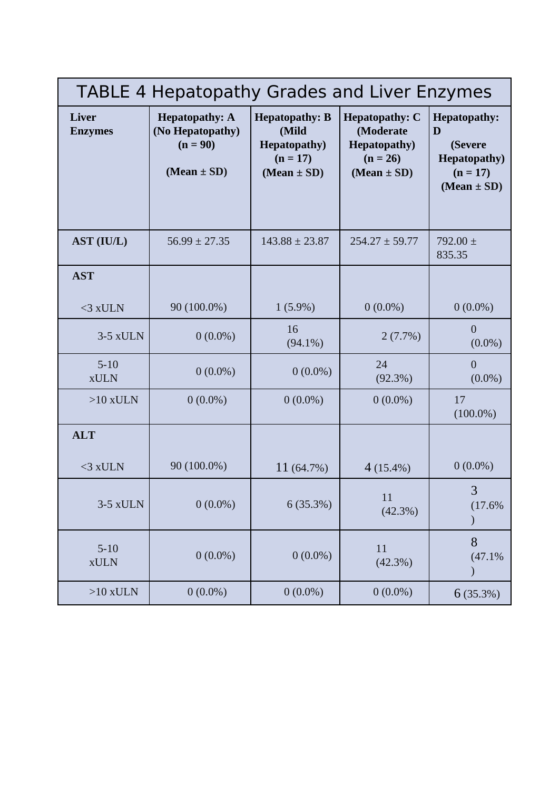| <b>TABLE 4 Hepatopathy Grades and Liver Enzymes</b> |                                                                            |                                                                                         |                                                                                             |                                                                                              |  |  |
|-----------------------------------------------------|----------------------------------------------------------------------------|-----------------------------------------------------------------------------------------|---------------------------------------------------------------------------------------------|----------------------------------------------------------------------------------------------|--|--|
| Liver<br><b>Enzymes</b>                             | <b>Hepatopathy: A</b><br>(No Hepatopathy)<br>$(n = 90)$<br>(Mean $\pm$ SD) | <b>Hepatopathy: B</b><br>(Mild<br><b>Hepatopathy</b> )<br>$(n = 17)$<br>$(Mean \pm SD)$ | <b>Hepatopathy: C</b><br>(Moderate<br><b>Hepatopathy</b> )<br>$(n = 26)$<br>$(Mean \pm SD)$ | <b>Hepatopathy:</b><br>D<br>(Severe<br><b>Hepatopathy</b> )<br>$(n = 17)$<br>$(Mean \pm SD)$ |  |  |
| AST (IU/L)                                          | $56.99 \pm 27.35$                                                          | $143.88 \pm 23.87$                                                                      | $254.27 \pm 59.77$                                                                          | 792.00 $\pm$<br>835.35                                                                       |  |  |
| <b>AST</b>                                          |                                                                            |                                                                                         |                                                                                             |                                                                                              |  |  |
| $<$ 3 xULN                                          | 90 (100.0%)                                                                | $1(5.9\%)$                                                                              | $0(0.0\%)$                                                                                  | $0(0.0\%)$                                                                                   |  |  |
| 3-5 xULN                                            | $0(0.0\%)$                                                                 | 16<br>$(94.1\%)$                                                                        | 2(7.7%)                                                                                     | $\overline{0}$<br>$(0.0\%)$                                                                  |  |  |
| $5 - 10$<br><b>xULN</b>                             | $0(0.0\%)$                                                                 | $0(0.0\%)$                                                                              | 24<br>(92.3%)                                                                               | $\overline{0}$<br>$(0.0\%)$                                                                  |  |  |
| $>10$ xULN                                          | $0(0.0\%)$                                                                 | $0(0.0\%)$                                                                              | $0(0.0\%)$                                                                                  | 17<br>$(100.0\%)$                                                                            |  |  |
| <b>ALT</b>                                          |                                                                            |                                                                                         |                                                                                             |                                                                                              |  |  |
| $<$ 3 xULN                                          | 90 (100.0%)                                                                | 11 (64.7%)                                                                              | $4(15.4\%)$                                                                                 | $0(0.0\%)$                                                                                   |  |  |
| 3-5 xULN                                            | $0(0.0\%)$                                                                 | 6(35.3%)                                                                                | 11<br>(42.3%)                                                                               | 3<br>(17.6%                                                                                  |  |  |
| $5 - 10$<br><b>xULN</b>                             | $0(0.0\%)$                                                                 | $0(0.0\%)$                                                                              | 11<br>(42.3%)                                                                               | 8<br>(47.1%                                                                                  |  |  |
| $>10$ xULN                                          | $0(0.0\%)$                                                                 | $0(0.0\%)$                                                                              | $0(0.0\%)$                                                                                  | 6(35.3%)                                                                                     |  |  |